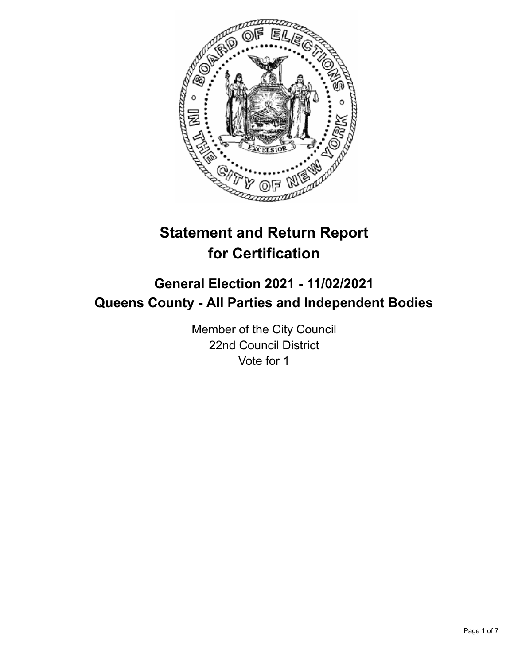

# **Statement and Return Report for Certification**

## **General Election 2021 - 11/02/2021 Queens County - All Parties and Independent Bodies**

Member of the City Council 22nd Council District Vote for 1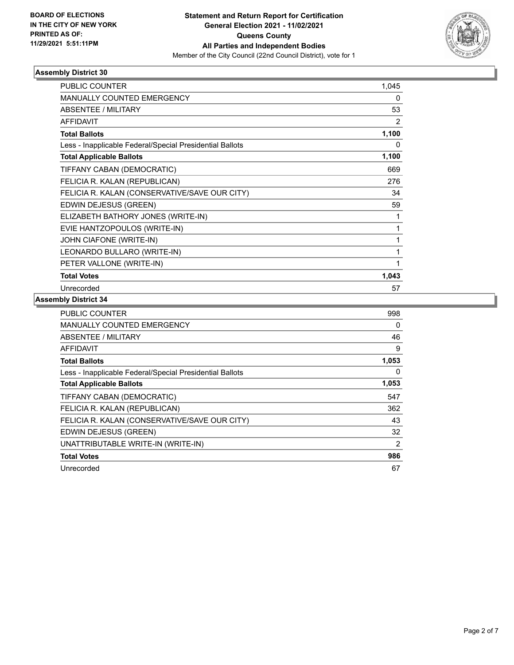

| <b>PUBLIC COUNTER</b>                                    | 1,045 |
|----------------------------------------------------------|-------|
| MANUALLY COUNTED EMERGENCY                               | 0     |
| ABSENTEE / MILITARY                                      | 53    |
| <b>AFFIDAVIT</b>                                         | 2     |
| <b>Total Ballots</b>                                     | 1,100 |
| Less - Inapplicable Federal/Special Presidential Ballots | 0     |
| <b>Total Applicable Ballots</b>                          | 1,100 |
| TIFFANY CABAN (DEMOCRATIC)                               | 669   |
| FELICIA R. KALAN (REPUBLICAN)                            | 276   |
| FELICIA R. KALAN (CONSERVATIVE/SAVE OUR CITY)            | 34    |
| EDWIN DEJESUS (GREEN)                                    | 59    |
| ELIZABETH BATHORY JONES (WRITE-IN)                       | 1     |
| EVIE HANTZOPOULOS (WRITE-IN)                             | 1     |
| JOHN CIAFONE (WRITE-IN)                                  | 1     |
| LEONARDO BULLARO (WRITE-IN)                              | 1     |
| PETER VALLONE (WRITE-IN)                                 | 1     |
| <b>Total Votes</b>                                       | 1,043 |
| Unrecorded                                               | 57    |

| <b>PUBLIC COUNTER</b>                                    | 998   |
|----------------------------------------------------------|-------|
| <b>MANUALLY COUNTED EMERGENCY</b>                        | 0     |
| <b>ABSENTEE / MILITARY</b>                               | 46    |
| <b>AFFIDAVIT</b>                                         | 9     |
| <b>Total Ballots</b>                                     | 1,053 |
| Less - Inapplicable Federal/Special Presidential Ballots | 0     |
| <b>Total Applicable Ballots</b>                          | 1,053 |
| TIFFANY CABAN (DEMOCRATIC)                               | 547   |
| FELICIA R. KALAN (REPUBLICAN)                            | 362   |
| FELICIA R. KALAN (CONSERVATIVE/SAVE OUR CITY)            | 43    |
| EDWIN DEJESUS (GREEN)                                    | 32    |
| UNATTRIBUTABLE WRITE-IN (WRITE-IN)                       | 2     |
| <b>Total Votes</b>                                       | 986   |
| Unrecorded                                               | 67    |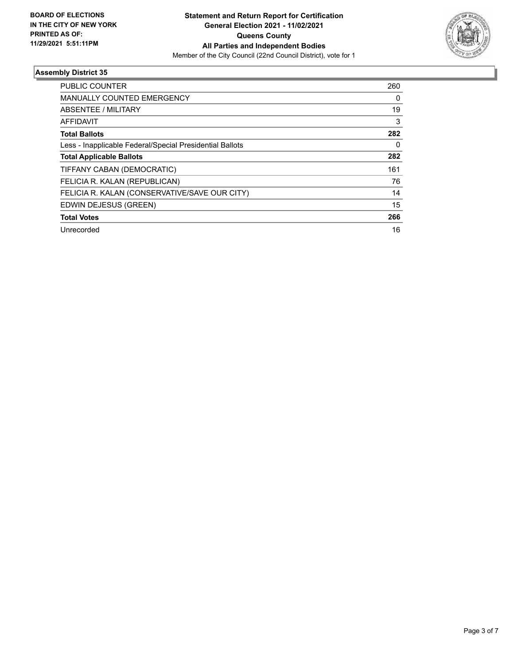

| <b>PUBLIC COUNTER</b>                                    | 260 |
|----------------------------------------------------------|-----|
| <b>MANUALLY COUNTED EMERGENCY</b>                        | 0   |
| ABSENTEE / MILITARY                                      | 19  |
| AFFIDAVIT                                                | 3   |
| <b>Total Ballots</b>                                     | 282 |
| Less - Inapplicable Federal/Special Presidential Ballots | 0   |
| <b>Total Applicable Ballots</b>                          | 282 |
| TIFFANY CABAN (DEMOCRATIC)                               | 161 |
| FELICIA R. KALAN (REPUBLICAN)                            | 76  |
| FELICIA R. KALAN (CONSERVATIVE/SAVE OUR CITY)            | 14  |
| EDWIN DEJESUS (GREEN)                                    | 15  |
| <b>Total Votes</b>                                       | 266 |
| Unrecorded                                               | 16  |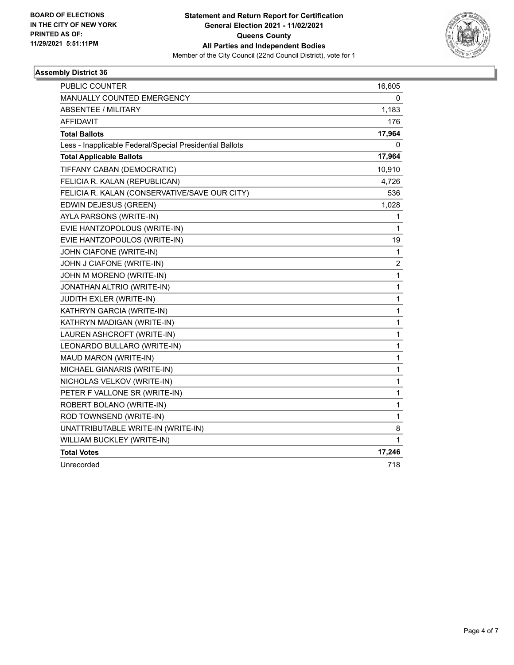

| PUBLIC COUNTER                                           | 16,605                  |
|----------------------------------------------------------|-------------------------|
| MANUALLY COUNTED EMERGENCY                               | 0                       |
| <b>ABSENTEE / MILITARY</b>                               | 1,183                   |
| <b>AFFIDAVIT</b>                                         | 176                     |
| <b>Total Ballots</b>                                     | 17,964                  |
| Less - Inapplicable Federal/Special Presidential Ballots | 0                       |
| <b>Total Applicable Ballots</b>                          | 17,964                  |
| TIFFANY CABAN (DEMOCRATIC)                               | 10,910                  |
| FELICIA R. KALAN (REPUBLICAN)                            | 4,726                   |
| FELICIA R. KALAN (CONSERVATIVE/SAVE OUR CITY)            | 536                     |
| EDWIN DEJESUS (GREEN)                                    | 1,028                   |
| AYLA PARSONS (WRITE-IN)                                  | 1                       |
| EVIE HANTZOPOLOUS (WRITE-IN)                             | 1                       |
| EVIE HANTZOPOULOS (WRITE-IN)                             | 19                      |
| JOHN CIAFONE (WRITE-IN)                                  | 1                       |
| JOHN J CIAFONE (WRITE-IN)                                | $\overline{\mathbf{c}}$ |
| JOHN M MORENO (WRITE-IN)                                 | 1                       |
| <b>JONATHAN ALTRIO (WRITE-IN)</b>                        | $\mathbf{1}$            |
| JUDITH EXLER (WRITE-IN)                                  | 1                       |
| KATHRYN GARCIA (WRITE-IN)                                | $\mathbf{1}$            |
| KATHRYN MADIGAN (WRITE-IN)                               | 1                       |
| LAUREN ASHCROFT (WRITE-IN)                               | 1                       |
| LEONARDO BULLARO (WRITE-IN)                              | 1                       |
| MAUD MARON (WRITE-IN)                                    | $\mathbf{1}$            |
| MICHAEL GIANARIS (WRITE-IN)                              | 1                       |
| NICHOLAS VELKOV (WRITE-IN)                               | 1                       |
| PETER F VALLONE SR (WRITE-IN)                            | 1                       |
| ROBERT BOLANO (WRITE-IN)                                 | 1                       |
| ROD TOWNSEND (WRITE-IN)                                  | 1                       |
| UNATTRIBUTABLE WRITE-IN (WRITE-IN)                       | 8                       |
| WILLIAM BUCKLEY (WRITE-IN)                               | 1                       |
| <b>Total Votes</b>                                       | 17,246                  |
| Unrecorded                                               | 718                     |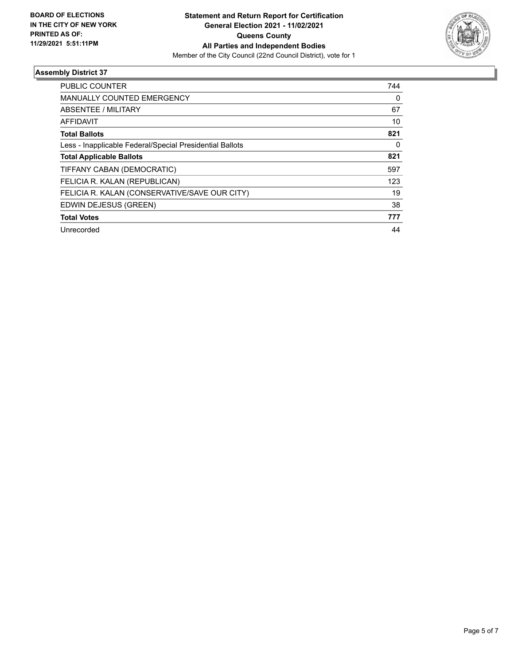

| <b>PUBLIC COUNTER</b>                                    | 744      |
|----------------------------------------------------------|----------|
| <b>MANUALLY COUNTED EMERGENCY</b>                        | $\Omega$ |
| ABSENTEE / MILITARY                                      | 67       |
| <b>AFFIDAVIT</b>                                         | 10       |
| <b>Total Ballots</b>                                     | 821      |
| Less - Inapplicable Federal/Special Presidential Ballots | $\Omega$ |
| <b>Total Applicable Ballots</b>                          | 821      |
| TIFFANY CABAN (DEMOCRATIC)                               | 597      |
| FELICIA R. KALAN (REPUBLICAN)                            | 123      |
| FELICIA R. KALAN (CONSERVATIVE/SAVE OUR CITY)            | 19       |
| EDWIN DEJESUS (GREEN)                                    | 38       |
| <b>Total Votes</b>                                       | 777      |
| Unrecorded                                               | 44       |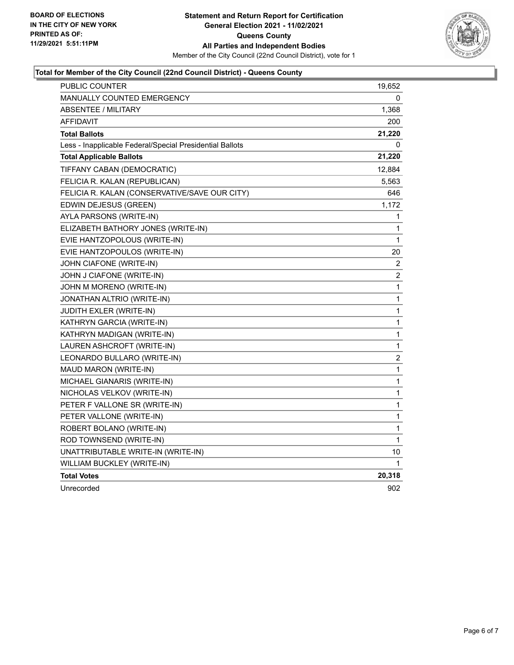

#### **Total for Member of the City Council (22nd Council District) - Queens County**

| PUBLIC COUNTER                                           | 19,652           |
|----------------------------------------------------------|------------------|
| <b>MANUALLY COUNTED EMERGENCY</b>                        | 0                |
| <b>ABSENTEE / MILITARY</b>                               | 1,368            |
| <b>AFFIDAVIT</b>                                         | 200              |
| <b>Total Ballots</b>                                     | 21,220           |
| Less - Inapplicable Federal/Special Presidential Ballots | 0                |
| <b>Total Applicable Ballots</b>                          | 21,220           |
| TIFFANY CABAN (DEMOCRATIC)                               | 12,884           |
| FELICIA R. KALAN (REPUBLICAN)                            | 5,563            |
| FELICIA R. KALAN (CONSERVATIVE/SAVE OUR CITY)            | 646              |
| EDWIN DEJESUS (GREEN)                                    | 1,172            |
| AYLA PARSONS (WRITE-IN)                                  | 1                |
| ELIZABETH BATHORY JONES (WRITE-IN)                       | 1                |
| EVIE HANTZOPOLOUS (WRITE-IN)                             | 1                |
| EVIE HANTZOPOULOS (WRITE-IN)                             | 20               |
| JOHN CIAFONE (WRITE-IN)                                  | $\overline{2}$   |
| JOHN J CIAFONE (WRITE-IN)                                | 2                |
| JOHN M MORENO (WRITE-IN)                                 | $\mathbf 1$      |
| JONATHAN ALTRIO (WRITE-IN)                               | 1                |
| JUDITH EXLER (WRITE-IN)                                  | 1                |
| KATHRYN GARCIA (WRITE-IN)                                | $\mathbf{1}$     |
| KATHRYN MADIGAN (WRITE-IN)                               | 1                |
| LAUREN ASHCROFT (WRITE-IN)                               | 1                |
| LEONARDO BULLARO (WRITE-IN)                              | $\boldsymbol{2}$ |
| MAUD MARON (WRITE-IN)                                    | 1                |
| MICHAEL GIANARIS (WRITE-IN)                              | 1                |
| NICHOLAS VELKOV (WRITE-IN)                               | 1                |
| PETER F VALLONE SR (WRITE-IN)                            | 1                |
| PETER VALLONE (WRITE-IN)                                 | $\mathbf{1}$     |
| ROBERT BOLANO (WRITE-IN)                                 | 1                |
| ROD TOWNSEND (WRITE-IN)                                  | 1                |
| UNATTRIBUTABLE WRITE-IN (WRITE-IN)                       | 10               |
| <b>WILLIAM BUCKLEY (WRITE-IN)</b>                        | 1                |
| <b>Total Votes</b>                                       | 20,318           |
| Unrecorded                                               | 902              |